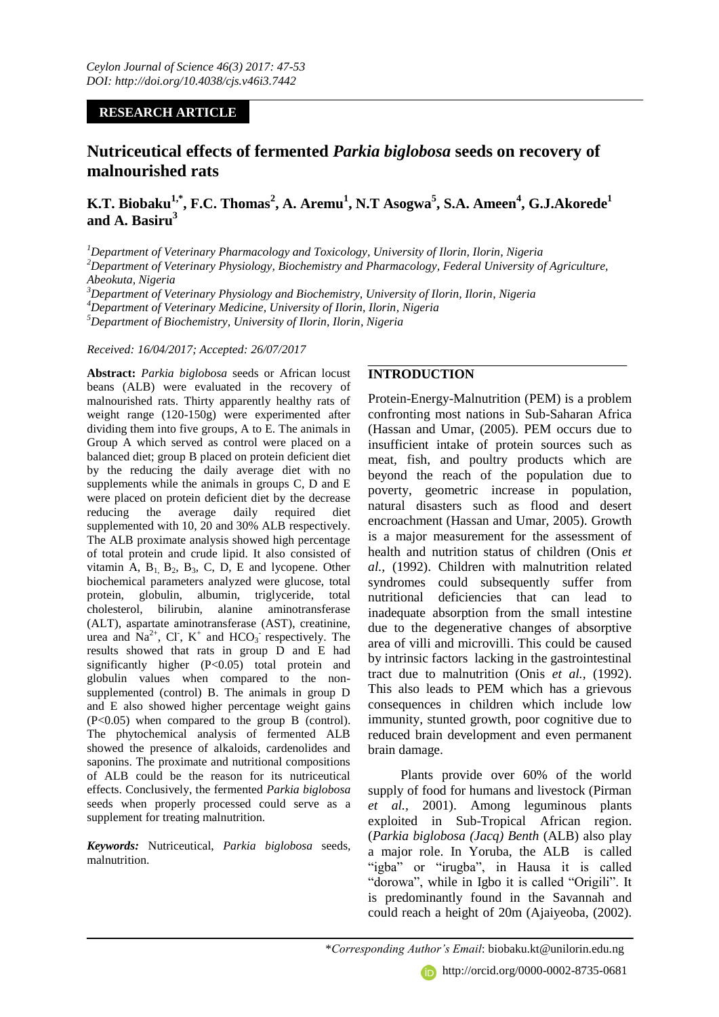## **RESEARCH ARTICLE**

# **Nutriceutical effects of fermented** *Parkia biglobosa* **seeds on recovery of malnourished rats**

**K.T. Biobaku1,\* , F.C. Thomas<sup>2</sup> , A. Aremu<sup>1</sup> , N.T Asogwa<sup>5</sup> , S.A. Ameen<sup>4</sup> , G.J.Akorede<sup>1</sup> and A. Basiru<sup>3</sup>**

*Department of Veterinary Pharmacology and Toxicology, University of Ilorin, Ilorin, Nigeria Department of Veterinary Physiology, Biochemistry and Pharmacology, Federal University of Agriculture, Abeokuta, Nigeria Department of Veterinary Physiology and Biochemistry, University of Ilorin, Ilorin, Nigeria Department of Veterinary Medicine, University of Ilorin, Ilorin, Nigeria Department of Biochemistry, University of Ilorin, Ilorin, Nigeria*

*Received: 16/04/2017; Accepted: 26/07/2017*

**Abstract:** *Parkia biglobosa* seeds or African locust beans (ALB) were evaluated in the recovery of malnourished rats. Thirty apparently healthy rats of weight range (120-150g) were experimented after dividing them into five groups, A to E. The animals in Group A which served as control were placed on a balanced diet; group B placed on protein deficient diet by the reducing the daily average diet with no supplements while the animals in groups C, D and E were placed on protein deficient diet by the decrease reducing the average daily required diet supplemented with 10, 20 and 30% ALB respectively. The ALB proximate analysis showed high percentage of total protein and crude lipid. It also consisted of vitamin A,  $B_1$ ,  $B_2$ ,  $B_3$ , C, D, E and lycopene. Other biochemical parameters analyzed were glucose, total protein, globulin, albumin, triglyceride, total cholesterol, bilirubin, alanine aminotransferase (ALT), aspartate aminotransferase (AST), creatinine, urea and  $Na^{2+}$ , Cl, K<sup>+</sup> and HCO<sub>3</sub> respectively. The results showed that rats in group D and E had significantly higher (P<0.05) total protein and globulin values when compared to the nonsupplemented (control) B. The animals in group D and E also showed higher percentage weight gains (P<0.05) when compared to the group B (control). The phytochemical analysis of fermented ALB showed the presence of alkaloids, cardenolides and saponins. The proximate and nutritional compositions of ALB could be the reason for its nutriceutical effects. Conclusively, the fermented *Parkia biglobosa*  seeds when properly processed could serve as a supplement for treating malnutrition.

*Keywords:* Nutriceutical, *Parkia biglobosa* seeds*,*  malnutrition.

## **INTRODUCTION**

Protein-Energy-Malnutrition (PEM) is a problem confronting most nations in Sub-Saharan Africa (Hassan and Umar, (2005). PEM occurs due to insufficient intake of protein sources such as meat, fish, and poultry products which are beyond the reach of the population due to poverty, geometric increase in population, natural disasters such as flood and desert encroachment (Hassan and Umar, 2005). Growth is a major measurement for the assessment of health and nutrition status of children (Onis *et al.,* (1992). Children with malnutrition related syndromes could subsequently suffer from nutritional deficiencies that can lead to inadequate absorption from the small intestine due to the degenerative changes of absorptive area of villi and microvilli. This could be caused by intrinsic factors lacking in the gastrointestinal tract due to malnutrition (Onis *et al.,* (1992). This also leads to PEM which has a grievous consequences in children which include low immunity, stunted growth, poor cognitive due to reduced brain development and even permanent brain damage.

Plants provide over 60% of the world supply of food for humans and livestock (Pirman *et al.,* 2001). Among leguminous plants exploited in Sub-Tropical African region. (*Parkia biglobosa (Jacq) Benth* (ALB) also play a major role. In Yoruba, the ALB is called "igba" or "irugba", in Hausa it is called "dorowa", while in Igbo it is called "Origili". It is predominantly found in the Savannah and could reach a height of 20m (Ajaiyeoba, (2002).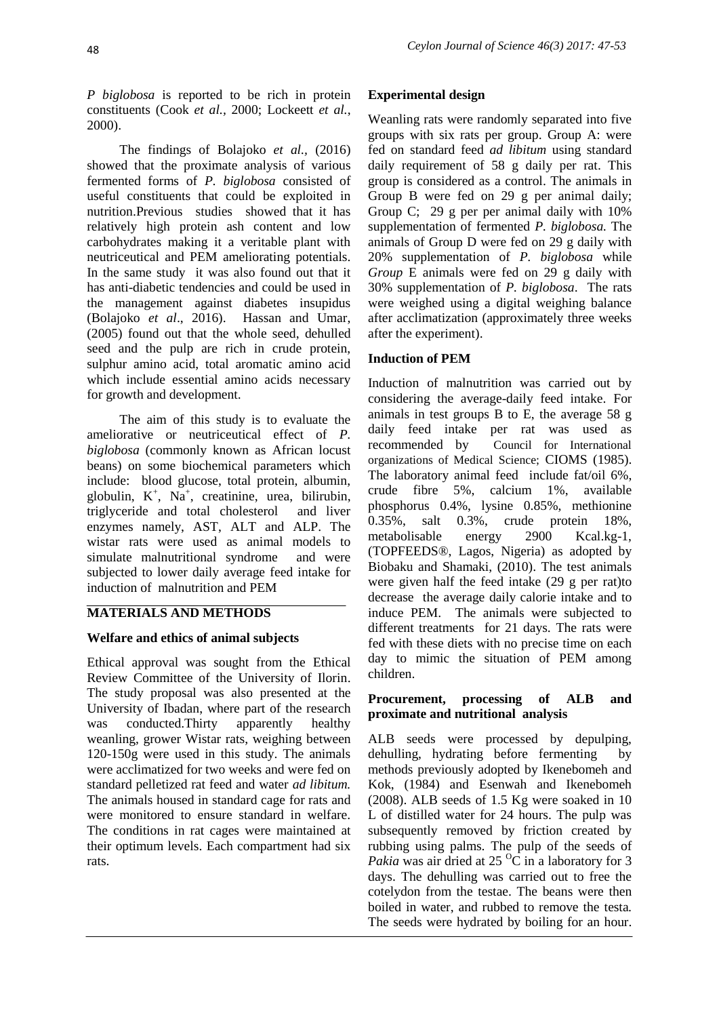*P biglobosa* is reported to be rich in protein constituents (Cook *et al.,* 2000; Lockeett *et al.*, 2000).

The findings of Bolajoko *et al.,* (2016) showed that the proximate analysis of various fermented forms of *P. biglobosa* consisted of useful constituents that could be exploited in nutrition.Previous studies showed that it has relatively high protein ash content and low carbohydrates making it a veritable plant with neutriceutical and PEM ameliorating potentials. In the same study it was also found out that it has anti-diabetic tendencies and could be used in the management against diabetes insupidus (Bolajoko *et al*., 2016). Hassan and Umar, (2005) found out that the whole seed, dehulled seed and the pulp are rich in crude protein, sulphur amino acid, total aromatic amino acid which include essential amino acids necessary for growth and development.

The aim of this study is to evaluate the ameliorative or neutriceutical effect of *P. biglobosa* (commonly known as African locust beans) on some biochemical parameters which include: blood glucose, total protein, albumin, globulin,  $K^+$ ,  $Na^+$ , creatinine, urea, bilirubin, triglyceride and total cholesterol and liver enzymes namely, AST, ALT and ALP. The wistar rats were used as animal models to simulate malnutritional syndrome and were subjected to lower daily average feed intake for induction of malnutrition and PEM

## **MATERIALS AND METHODS**

## **Welfare and ethics of animal subjects**

Ethical approval was sought from the Ethical Review Committee of the University of Ilorin. The study proposal was also presented at the University of Ibadan, where part of the research was conducted.Thirty apparently healthy weanling, grower Wistar rats, weighing between 120-150g were used in this study. The animals were acclimatized for two weeks and were fed on standard pelletized rat feed and water *ad libitum.* The animals housed in standard cage for rats and were monitored to ensure standard in welfare. The conditions in rat cages were maintained at their optimum levels. Each compartment had six rats.

## **Experimental design**

Weanling rats were randomly separated into five groups with six rats per group. Group A: were fed on standard feed *ad libitum* using standard daily requirement of 58 g daily per rat. This group is considered as a control. The animals in Group B were fed on 29 g per animal daily; Group C; 29 g per per animal daily with 10% supplementation of fermented *P. biglobosa.* The animals of Group D were fed on 29 g daily with 20% supplementation of *P. biglobosa* while *Group* E animals were fed on 29 g daily with 30% supplementation of *P. biglobosa*. The rats were weighed using a digital weighing balance after acclimatization (approximately three weeks after the experiment).

## **Induction of PEM**

Induction of malnutrition was carried out by considering the average-daily feed intake. For animals in test groups B to E, the average 58 g daily feed intake per rat was used as recommended by Council for International organizations of Medical Science; CIOMS (1985). The laboratory animal feed include fat/oil 6%, crude fibre 5%, calcium 1%, available phosphorus 0.4%, lysine 0.85%, methionine 0.35%, salt 0.3%, crude protein 18%, metabolisable energy 2900 Kcal.kg-1, (TOPFEEDS®, Lagos, Nigeria) as adopted by Biobaku and Shamaki, (2010). The test animals were given half the feed intake (29 g per rat)to decrease the average daily calorie intake and to induce PEM. The animals were subjected to different treatments for 21 days. The rats were fed with these diets with no precise time on each day to mimic the situation of PEM among children.

### **Procurement, processing of ALB and proximate and nutritional analysis**

ALB seeds were processed by depulping, dehulling, hydrating before fermenting by methods previously adopted by Ikenebomeh and Kok, (1984) and Esenwah and Ikenebomeh (2008). ALB seeds of 1.5 Kg were soaked in 10 L of distilled water for 24 hours. The pulp was subsequently removed by friction created by rubbing using palms. The pulp of the seeds of *Pakia* was air dried at 25  $\overline{^0C}$  in a laboratory for 3 days. The dehulling was carried out to free the cotelydon from the testae. The beans were then boiled in water, and rubbed to remove the testa*.*  The seeds were hydrated by boiling for an hour.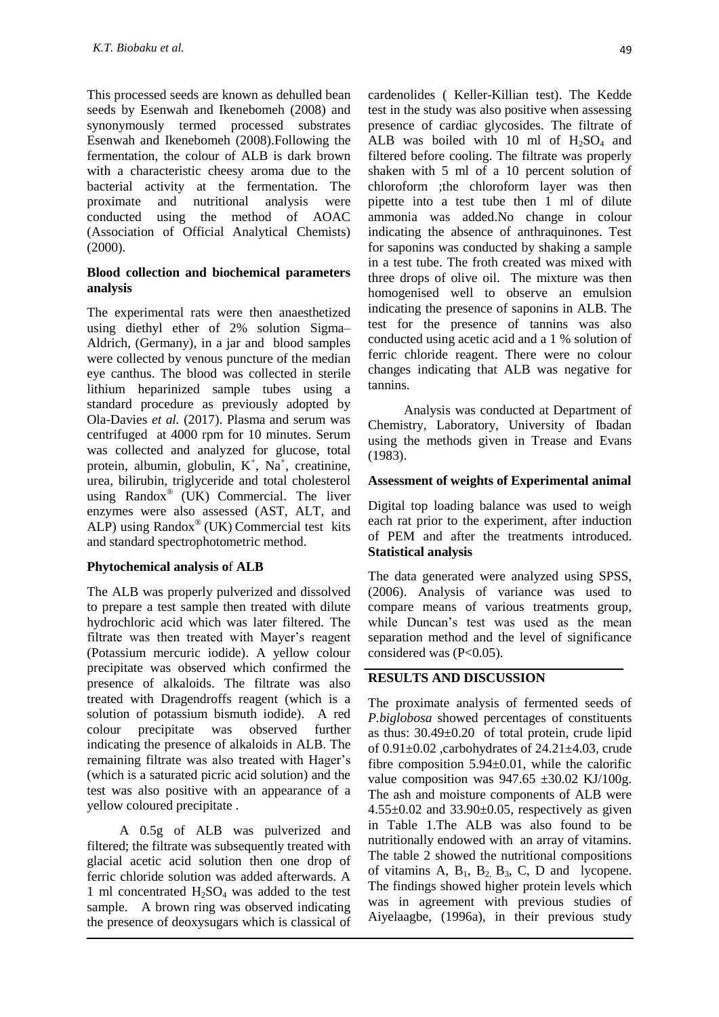This processed seeds are known as dehulled bean seeds by Esenwah and Ikenebomeh (2008) and synonymously termed processed substrates Esenwah and Ikenebomeh (2008).Following the fermentation, the colour of ALB is dark brown with a characteristic cheesy aroma due to the bacterial activity at the fermentation. The proximate and nutritional analysis were conducted using the method of AOAC (Association of Official Analytical Chemists) (2000).

#### **Blood collection and biochemical parameters analysis**

The experimental rats were then anaesthetized using diethyl ether of 2% solution Sigma– Aldrich, (Germany), in a jar and blood samples were collected by venous puncture of the median eye canthus. The blood was collected in sterile lithium heparinized sample tubes using a standard procedure as previously adopted by Ola-Davies *et al.* (2017). Plasma and serum was centrifuged at 4000 rpm for 10 minutes. Serum was collected and analyzed for glucose, total protein, albumin, globulin,  $K^+$ ,  $Na^+$ , creatinine, urea, bilirubin, triglyceride and total cholesterol using Randox® (UK) Commercial. The liver enzymes were also assessed (AST, ALT, and ALP) using Randox® (UK) Commercial test kits and standard spectrophotometric method.

### **Phytochemical analysis o**f **ALB**

The ALB was properly pulverized and dissolved to prepare a test sample then treated with dilute hydrochloric acid which was later filtered. The filtrate was then treated with Mayer's reagent (Potassium mercuric iodide). A yellow colour precipitate was observed which confirmed the presence of alkaloids. The filtrate was also treated with Dragendroffs reagent (which is a solution of potassium bismuth iodide). A red colour precipitate was observed further indicating the presence of alkaloids in ALB. The remaining filtrate was also treated with Hager's (which is a saturated picric acid solution) and the test was also positive with an appearance of a yellow coloured precipitate .

A 0.5g of ALB was pulverized and filtered; the filtrate was subsequently treated with glacial acetic acid solution then one drop of ferric chloride solution was added afterwards. A 1 ml concentrated H2SO<sup>4</sup> was added to the test sample. A brown ring was observed indicating the presence of deoxysugars which is classical of cardenolides ( Keller-Killian test). The Kedde test in the study was also positive when assessing presence of cardiac glycosides. The filtrate of ALB was boiled with 10 ml of  $H_2SO_4$  and filtered before cooling. The filtrate was properly shaken with 5 ml of a 10 percent solution of chloroform ;the chloroform layer was then pipette into a test tube then 1 ml of dilute ammonia was added.No change in colour indicating the absence of anthraquinones. Test for saponins was conducted by shaking a sample in a test tube. The froth created was mixed with three drops of olive oil. The mixture was then homogenised well to observe an emulsion indicating the presence of saponins in ALB. The test for the presence of tannins was also conducted using acetic acid and a 1 % solution of ferric chloride reagent. There were no colour changes indicating that ALB was negative for tannins.

Analysis was conducted at Department of Chemistry, Laboratory, University of Ibadan using the methods given in Trease and Evans (1983).

#### **Assessment of weights of Experimental animal**

Digital top loading balance was used to weigh each rat prior to the experiment, after induction of PEM and after the treatments introduced. **Statistical analysis**

The data generated were analyzed using SPSS, (2006). Analysis of variance was used to compare means of various treatments group, while Duncan's test was used as the mean separation method and the level of significance considered was (P<0.05).

### **RESULTS AND DISCUSSION**

The proximate analysis of fermented seeds of *P.biglobosa* showed percentages of constituents as thus:  $30.49 \pm 0.20$  of total protein, crude lipid of  $0.91\pm0.02$  , carbohydrates of  $24.21\pm4.03$ , crude fibre composition  $5.94 \pm 0.01$ , while the calorific value composition was  $947.65 \pm 30.02 \text{ KJ}/100 \text{g}$ . The ash and moisture components of ALB were  $4.55\pm0.02$  and  $33.90\pm0.05$ , respectively as given in Table 1.The ALB was also found to be nutritionally endowed with an array of vitamins. The table 2 showed the nutritional compositions of vitamins A,  $B_1$ ,  $B_2$ ,  $B_3$ , C, D and lycopene. The findings showed higher protein levels which was in agreement with previous studies of Aiyelaagbe, (1996a), in their previous study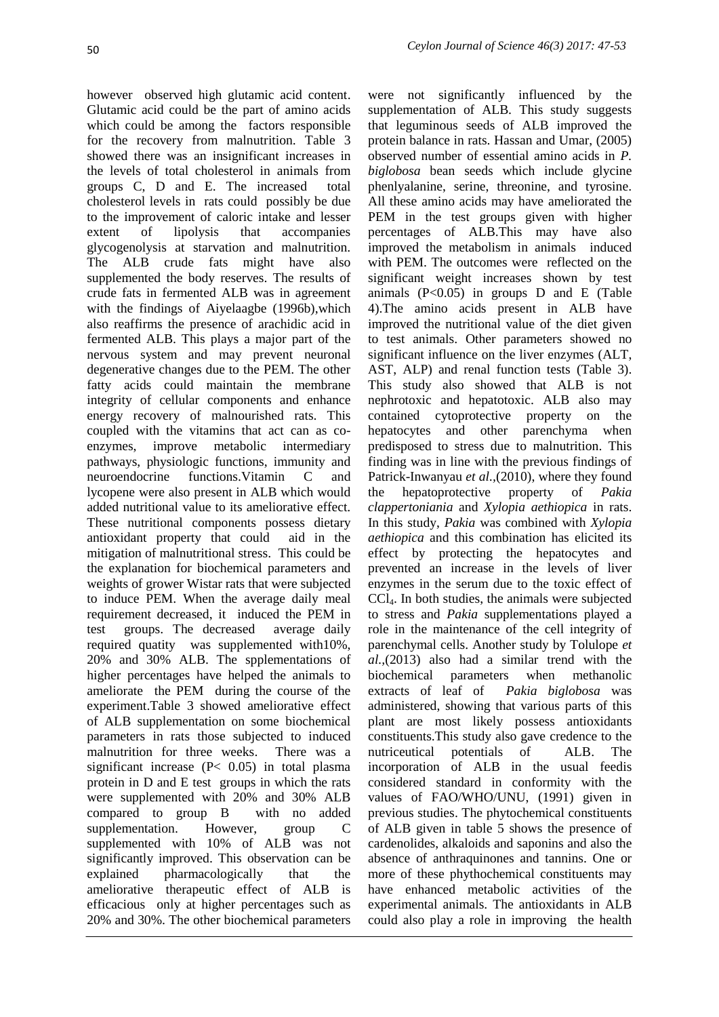however observed high glutamic acid content. Glutamic acid could be the part of amino acids which could be among the factors responsible for the recovery from malnutrition. Table 3 showed there was an insignificant increases in the levels of total cholesterol in animals from groups C, D and E. The increased total cholesterol levels in rats could possibly be due to the improvement of caloric intake and lesser extent of lipolysis that accompanies glycogenolysis at starvation and malnutrition. The ALB crude fats might have also supplemented the body reserves. The results of crude fats in fermented ALB was in agreement with the findings of Aiyelaagbe (1996b),which also reaffirms the presence of arachidic acid in fermented ALB. This plays a major part of the nervous system and may prevent neuronal degenerative changes due to the PEM. The other fatty acids could maintain the membrane integrity of cellular components and enhance energy recovery of malnourished rats. This coupled with the vitamins that act can as coenzymes, improve metabolic intermediary pathways, physiologic functions, immunity and neuroendocrine functions.Vitamin C and lycopene were also present in ALB which would added nutritional value to its ameliorative effect. These nutritional components possess dietary antioxidant property that could aid in the mitigation of malnutritional stress. This could be the explanation for biochemical parameters and weights of grower Wistar rats that were subjected to induce PEM. When the average daily meal requirement decreased, it induced the PEM in test groups. The decreased average daily required quatity was supplemented with10%, 20% and 30% ALB. The spplementations of higher percentages have helped the animals to ameliorate the PEM during the course of the experiment.Table 3 showed ameliorative effect of ALB supplementation on some biochemical parameters in rats those subjected to induced malnutrition for three weeks. There was a significant increase (P< 0.05) in total plasma protein in D and E test groups in which the rats were supplemented with 20% and 30% ALB compared to group B with no added supplementation. However, group C supplemented with 10% of ALB was not significantly improved. This observation can be explained pharmacologically that the ameliorative therapeutic effect of ALB is efficacious only at higher percentages such as 20% and 30%. The other biochemical parameters

were not significantly influenced by the supplementation of ALB*.* This study suggests that leguminous seeds of ALB improved the protein balance in rats. Hassan and Umar, (2005) observed number of essential amino acids in *P. biglobosa* bean seeds which include glycine phenlyalanine, serine, threonine, and tyrosine. All these amino acids may have ameliorated the PEM in the test groups given with higher percentages of ALB.This may have also improved the metabolism in animals induced with PEM. The outcomes were reflected on the significant weight increases shown by test animals  $(P<0.05)$  in groups D and E (Table 4).The amino acids present in ALB have improved the nutritional value of the diet given to test animals. Other parameters showed no significant influence on the liver enzymes (ALT, AST, ALP) and renal function tests (Table 3). This study also showed that ALB is not nephrotoxic and hepatotoxic. ALB also may contained cytoprotective property on the hepatocytes and other parenchyma when predisposed to stress due to malnutrition. This finding was in line with the previous findings of Patrick-Inwanyau *et al.,*(2010), where they found the hepatoprotective property of *Pakia clappertoniania* and *Xylopia aethiopica* in rats. In this study, *Pakia* was combined with *Xylopia aethiopica* and this combination has elicited its effect by protecting the hepatocytes and prevented an increase in the levels of liver enzymes in the serum due to the toxic effect of CCl4. In both studies, the animals were subjected to stress and *Pakia* supplementations played a role in the maintenance of the cell integrity of parenchymal cells. Another study by Tolulope *et al.,*(2013) also had a similar trend with the biochemical parameters when methanolic extracts of leaf of *Pakia biglobosa* was administered, showing that various parts of this plant are most likely possess antioxidants constituents.This study also gave credence to the nutriceutical potentials of ALB. The incorporation of ALB in the usual feedis considered standard in conformity with the values of FAO/WHO/UNU, (1991) given in previous studies. The phytochemical constituents of ALB given in table 5 shows the presence of cardenolides, alkaloids and saponins and also the absence of anthraquinones and tannins. One or more of these phythochemical constituents may have enhanced metabolic activities of the experimental animals. The antioxidants in ALB could also play a role in improving the health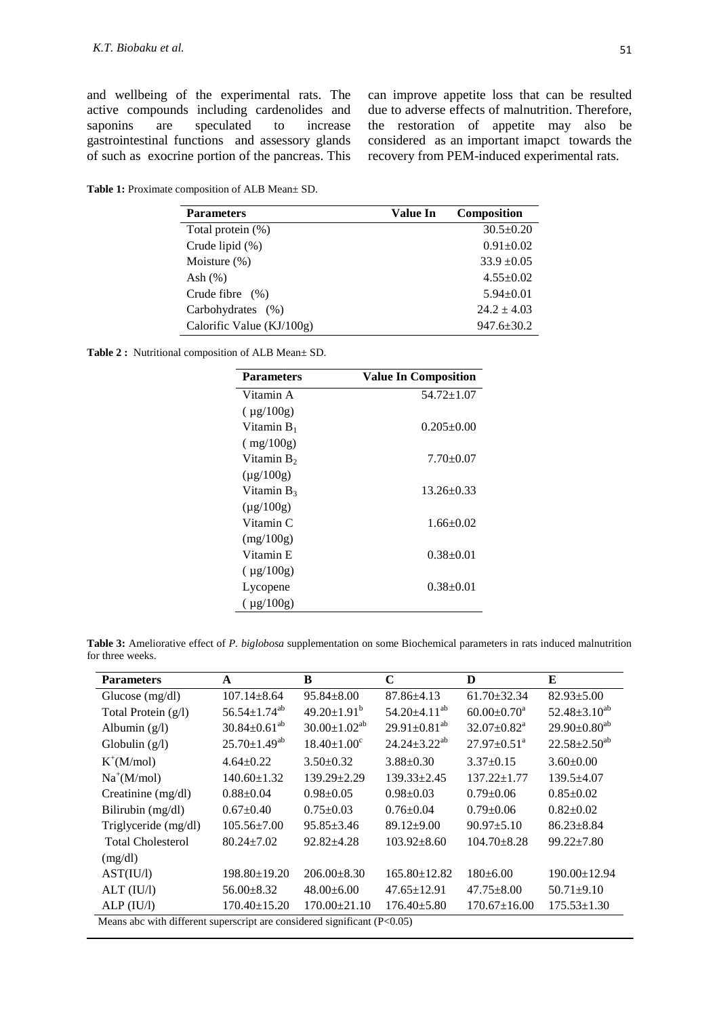and wellbeing of the experimental rats. The active compounds including cardenolides and<br>saponins are speculated to increase are speculated to increase gastrointestinal functions and assessory glands of such as exocrine portion of the pancreas. This can improve appetite loss that can be resulted due to adverse effects of malnutrition. Therefore, the restoration of appetite may also be considered as an important imapct towards the recovery from PEM-induced experimental rats.

**Table 1:** Proximate composition of ALB Mean± SD.

| <b>Parameters</b>         | Value In | Composition      |
|---------------------------|----------|------------------|
| Total protein (%)         |          | $30.5 \pm 0.20$  |
| Crude lipid $(\%)$        |          | $0.91 \pm 0.02$  |
| Moisture $(\%)$           |          | $33.9 + 0.05$    |
| Ash $(\%)$                |          | $4.55+0.02$      |
| Crude fibre $(\%)$        |          | $5.94 \pm 0.01$  |
| Carbohydrates (%)         |          | $24.2 \pm 4.03$  |
| Calorific Value (KJ/100g) |          | $947.6 \pm 30.2$ |

**Table 2 :** Nutritional composition of ALB Mean± SD.

| <b>Parameters</b> | <b>Value In Composition</b> |
|-------------------|-----------------------------|
| Vitamin A         | 54.72±1.07                  |
| $(\mu g/100g)$    |                             |
| Vitamin $B_1$     | $0.205 \pm 0.00$            |
| (mg/100g)         |                             |
| Vitamin $B_2$     | $7.70 \pm 0.07$             |
| $(\mu g/100g)$    |                             |
| Vitamin $B_3$     | $13.26 + 0.33$              |
| $(\mu g/100g)$    |                             |
| Vitamin C         | $1.66 \pm 0.02$             |
| (mg/100g)         |                             |
| Vitamin E         | $0.38 + 0.01$               |
| $(\mu g/100g)$    |                             |
| Lycopene          | $0.38 + 0.01$               |
| $(\mu$ g/100g)    |                             |

**Table 3:** Ameliorative effect of *P. biglobosa* supplementation on some Biochemical parameters in rats induced malnutrition for three weeks.

| <b>Parameters</b>                                                          | A                              | B                     | C                     | D                             | E                     |
|----------------------------------------------------------------------------|--------------------------------|-----------------------|-----------------------|-------------------------------|-----------------------|
| Glucose $(mg/dl)$                                                          | $107.14 \pm 8.64$              | $95.84 \pm 8.00$      | $87.86{\pm}4.13$      | $61.70 \pm 32.34$             | $82.93 \pm 5.00$      |
| Total Protein $(g/l)$                                                      | $56.54 \pm 1.74$ <sup>ab</sup> | $49.20 \pm 1.91^b$    | $54.20 \pm 4.11^{ab}$ | $60.00 \pm 0.70$ <sup>a</sup> | $52.48 \pm 3.10^{ab}$ |
| Albumin $(g/l)$                                                            | $30.84 \pm 0.61^{ab}$          | $30.00 \pm 1.02^{ab}$ | $29.91 \pm 0.81^{ab}$ | $32.07+0.82^a$                | $29.90 \pm 0.80^{ab}$ |
| Globulin $(g/l)$                                                           | $25.70 \pm 1.49^{ab}$          | $18.40 \pm 1.00^c$    | $24.24 \pm 3.22^{ab}$ | $27.97 \pm 0.51$ <sup>a</sup> | $22.58 \pm 2.50^{ab}$ |
| $K^+(M/mol)$                                                               | $4.64 \pm 0.22$                | $3.50+0.32$           | $3.88 \pm 0.30$       | $3.37 \pm 0.15$               | $3.60 \pm 0.00$       |
| $Na^+(M/mol)$                                                              | $140.60 \pm 1.32$              | $139.29 \pm 2.29$     | $139.33 \pm 2.45$     | $137.22 \pm 1.77$             | $139.5 + 4.07$        |
| Creatinine (mg/dl)                                                         | $0.88 \pm 0.04$                | $0.98 \pm 0.05$       | $0.98 \pm 0.03$       | $0.79 \pm 0.06$               | $0.85 \pm 0.02$       |
| Bilirubin (mg/dl)                                                          | $0.67 \pm 0.40$                | $0.75 \pm 0.03$       | $0.76 \pm 0.04$       | $0.79 \pm 0.06$               | $0.82 \pm 0.02$       |
| Triglyceride (mg/dl)                                                       | $105.56 \pm 7.00$              | $95.85 \pm 3.46$      | $89.12 \pm 9.00$      | $90.97 \pm 5.10$              | $86.23 \pm 8.84$      |
| <b>Total Cholesterol</b>                                                   | $80.24 \pm 7.02$               | $92.82 + 4.28$        | $103.92 \pm 8.60$     | $104.70 + 8.28$               | $99.22 \pm 7.80$      |
| (mg/dl)                                                                    |                                |                       |                       |                               |                       |
| AST(IU/l)                                                                  | $198.80 \pm 19.20$             | $206.00 \pm 8.30$     | $165.80 \pm 12.82$    | $180 \pm 6.00$                | $190.00 \pm 12.94$    |
| ALT (IU/l)                                                                 | $56.00 \pm 8.32$               | $48.00\pm6.00$        | $47.65 \pm 12.91$     | $47.75 \pm 8.00$              | $50.71 \pm 9.10$      |
| ALP (IU/l)                                                                 | $170.40 \pm 15.20$             | $170.00 \pm 21.10$    | $176.40 \pm 5.80$     | $170.67 \pm 16.00$            | $175.53 \pm 1.30$     |
| Means abc with different superscript are considered significant $(P<0.05)$ |                                |                       |                       |                               |                       |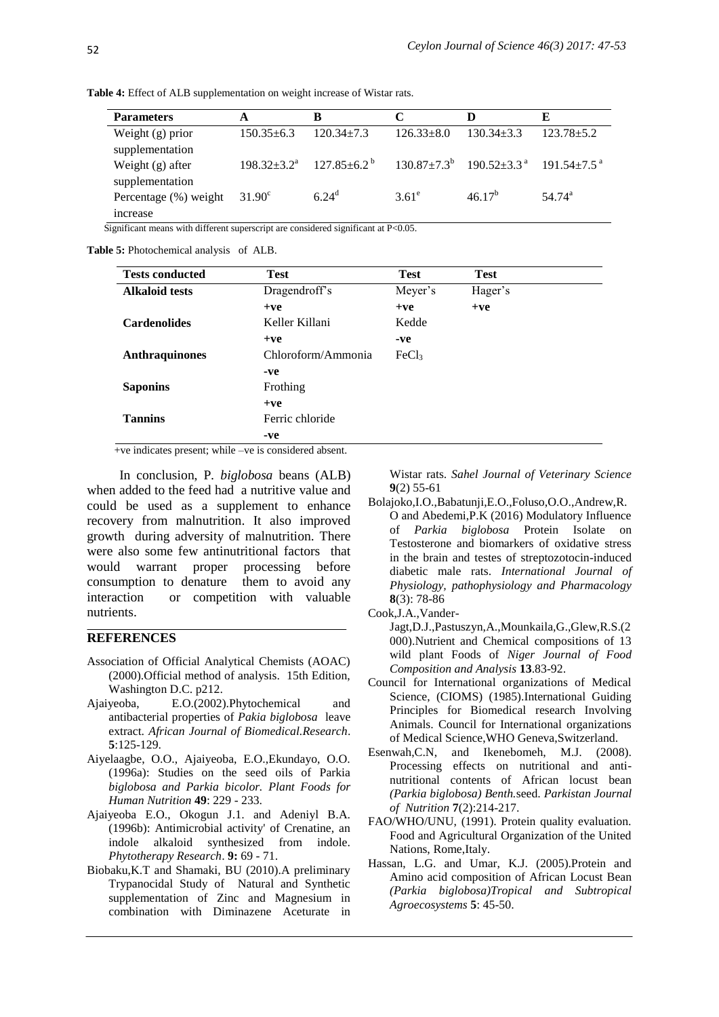| <b>Parameters</b>     | A                | в                                     | C              | D                                                                          | E               |
|-----------------------|------------------|---------------------------------------|----------------|----------------------------------------------------------------------------|-----------------|
| Weight $(g)$ prior    | $150.35 \pm 6.3$ | $120.34 + 7.3$                        | $126.33 + 8.0$ | $130.34 + 3.3$                                                             | $123.78 + 5.2$  |
| supplementation       |                  |                                       |                |                                                                            |                 |
| Weight $(g)$ after    |                  | $198.32 \pm 3.2^a$ $127.85 \pm 6.2^b$ |                | $130.87 \pm 7.3^{\circ}$ $190.52 \pm 3.3^{\circ}$ $191.54 \pm 7.5^{\circ}$ |                 |
| supplementation       |                  |                                       |                |                                                                            |                 |
| Percentage (%) weight | $31.90^{\circ}$  | $6.24^{\circ}$                        | $3.61^{\circ}$ | $46.17^{b}$                                                                | $54.74^{\rm a}$ |
| <i>ncrease</i>        |                  |                                       |                |                                                                            |                 |

**Table 4:** Effect of ALB supplementation on weight increase of Wistar rats.

Significant means with different superscript are considered significant at P<0.05.

**Table 5:** Photochemical analysis of ALB.

| <b>Tests conducted</b> | <b>Test</b>        | <b>Test</b>       | <b>Test</b> |
|------------------------|--------------------|-------------------|-------------|
| <b>Alkaloid tests</b>  | Dragendroff's      | Meyer's           | Hager's     |
|                        | $+ve$              | $+ve$             | $+ve$       |
| <b>Cardenolides</b>    | Keller Killani     | Kedde             |             |
|                        | $+ve$              | $-ve$             |             |
| <b>Anthraquinones</b>  | Chloroform/Ammonia | FeCl <sub>3</sub> |             |
|                        | -ve                |                   |             |
| <b>Saponins</b>        | Frothing           |                   |             |
|                        | $+ve$              |                   |             |
| <b>Tannins</b>         | Ferric chloride    |                   |             |
|                        | -ve                |                   |             |

+ve indicates present; while –ve is considered absent.

In conclusion, P*. biglobosa* beans (ALB) when added to the feed had a nutritive value and could be used as a supplement to enhance recovery from malnutrition. It also improved growth during adversity of malnutrition. There were also some few antinutritional factors that would warrant proper processing before consumption to denature them to avoid any interaction or competition with valuable nutrients.

#### **REFERENCES**

- Association of Official Analytical Chemists (AOAC) (2000).Official method of analysis. 15th Edition, Washington D.C. p212.
- Ajaiyeoba, E.O.(2002).Phytochemical and antibacterial properties of *Pakia biglobosa* leave extract. *African Journal of Biomedical.Research*. **5**:125-129.
- Aiyelaagbe, O.O., Ajaiyeoba, E.O.,Ekundayo, O.O. (1996a): Studies on the seed oils of Parkia *biglobosa and Parkia bicolor. Plant Foods for Human Nutrition* **49**: 229 - 233.
- Ajaiyeoba E.O., Okogun J.1. and Adeniyl B.A. (1996b): Antimicrobial activity' of Crenatine, an indole alkaloid synthesized from indole. *Phytotherapy Research*. **9:** 69 - 71.
- Biobaku,K.T and Shamaki, BU (2010).A preliminary Trypanocidal Study of Natural and Synthetic supplementation of Zinc and Magnesium in combination with Diminazene Aceturate in

Wistar rats. *Sahel Journal of Veterinary Science* **9**(2) 55-61

Bolajoko,I.O.,Babatunji,E.O.,Foluso,O.O.,Andrew,R. O and Abedemi,P.K (2016) Modulatory Influence of *Parkia biglobosa* Protein Isolate on Testosterone and biomarkers of oxidative stress in the brain and testes of streptozotocin-induced diabetic male rats. *International Journal of Physiology, pathophysiology and Pharmacology* **8**(3): 78-86

Cook,J.A.,Vander-

- Jagt,D.J.,Pastuszyn,A.,Mounkaila,G.,Glew,R.S.(2 000).Nutrient and Chemical compositions of 13 wild plant Foods of *Niger Journal of Food Composition and Analysis* **13**.83-92.
- Council for International organizations of Medical Science, (CIOMS) (1985).International Guiding Principles for Biomedical research Involving Animals. Council for International organizations of Medical Science,WHO Geneva,Switzerland.
- Esenwah,C.N, and Ikenebomeh, M.J. (2008). Processing effects on nutritional and antinutritional contents of African locust bean *(Parkia biglobosa) Benth.*seed. *Parkistan Journal of Nutrition* **7**(2):214-217.
- FAO/WHO/UNU, (1991). Protein quality evaluation. Food and Agricultural Organization of the United Nations, Rome,Italy.
- Hassan, L.G. and Umar, K.J. (2005).Protein and Amino acid composition of African Locust Bean *(Parkia biglobosa)Tropical and Subtropical Agroecosystems* **5**: 45-50.